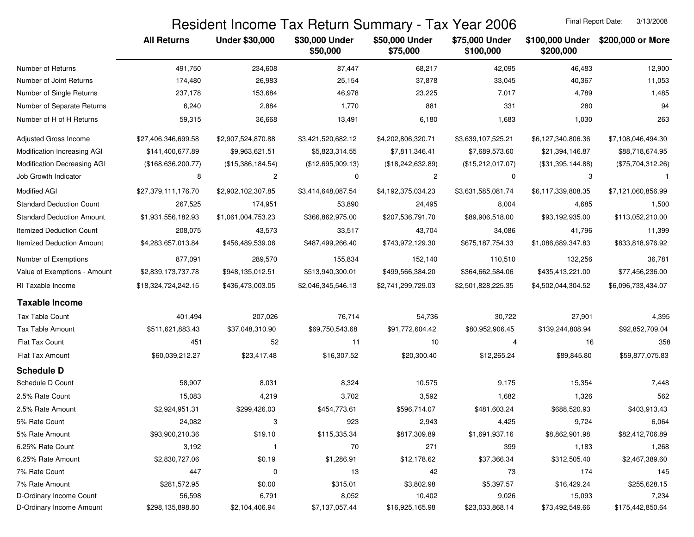## Resident Income Tax Return Summary - Tax Year 2006

Final Report Date: 3/13/2008

|                                  | <b>All Returns</b>  | <b>Under \$30,000</b>   | \$30,000 Under<br>\$50,000 | \$50,000 Under<br>\$75,000 | \$75,000 Under<br>\$100,000 | \$100,000 Under<br>\$200,000 | \$200,000 or More  |
|----------------------------------|---------------------|-------------------------|----------------------------|----------------------------|-----------------------------|------------------------------|--------------------|
| Number of Returns                | 491,750             | 234,608                 | 87,447                     | 68,217                     | 42,095                      | 46,483                       | 12,900             |
| Number of Joint Returns          | 174,480             | 26,983                  | 25,154                     | 37,878                     | 33,045                      | 40,367                       | 11,053             |
| Number of Single Returns         | 237,178             | 153,684                 | 46,978                     | 23,225                     | 7,017                       | 4,789                        | 1,485              |
| Number of Separate Returns       | 6,240               | 2,884                   | 1,770                      | 881                        | 331                         | 280                          | 94                 |
| Number of H of H Returns         | 59,315              | 36,668                  | 13,491                     | 6,180                      | 1,683                       | 1,030                        | 263                |
| Adjusted Gross Income            | \$27,406,346,699.58 | \$2,907,524,870.88      | \$3,421,520,682.12         | \$4,202,806,320.71         | \$3,639,107,525.21          | \$6,127,340,806.36           | \$7,108,046,494.30 |
| Modification Increasing AGI      | \$141,400,677.89    | \$9,963,621.51          | \$5,823,314.55             | \$7,811,346.41             | \$7,689,573.60              | \$21,394,146.87              | \$88,718,674.95    |
| Modification Decreasing AGI      | (\$168,636,200.77)  | (\$15,386,184.54)       | (\$12,695,909.13)          | (\$18,242,632.89)          | (\$15,212,017.07)           | (\$31,395,144.88)            | (\$75,704,312.26)  |
| Job Growth Indicator             | 8                   | $\overline{c}$          | 0                          | 2                          | 0                           | 3                            |                    |
| <b>Modified AGI</b>              | \$27,379,111,176.70 | \$2,902,102,307.85      | \$3,414,648,087.54         | \$4,192,375,034.23         | \$3,631,585,081.74          | \$6,117,339,808.35           | \$7,121,060,856.99 |
| <b>Standard Deduction Count</b>  | 267,525             | 174,951                 | 53,890                     | 24,495                     | 8,004                       | 4,685                        | 1,500              |
| <b>Standard Deduction Amount</b> | \$1,931,556,182.93  | \$1,061,004,753.23      | \$366,862,975.00           | \$207,536,791.70           | \$89,906,518.00             | \$93,192,935.00              | \$113,052,210.00   |
| <b>Itemized Deduction Count</b>  | 208,075             | 43,573                  | 33,517                     | 43,704                     | 34,086                      | 41,796                       | 11,399             |
| <b>Itemized Deduction Amount</b> | \$4,283,657,013.84  | \$456,489,539.06        | \$487,499,266.40           | \$743,972,129.30           | \$675,187,754.33            | \$1,086,689,347.83           | \$833,818,976.92   |
| Number of Exemptions             | 877,091             | 289,570                 | 155,834                    | 152,140                    | 110,510                     | 132,256                      | 36,781             |
| Value of Exemptions - Amount     | \$2,839,173,737.78  | \$948,135,012.51        | \$513,940,300.01           | \$499,566,384.20           | \$364,662,584.06            | \$435,413,221.00             | \$77,456,236.00    |
| RI Taxable Income                | \$18,324,724,242.15 | \$436,473,003.05        | \$2,046,345,546.13         | \$2,741,299,729.03         | \$2,501,828,225.35          | \$4,502,044,304.52           | \$6,096,733,434.07 |
| <b>Taxable Income</b>            |                     |                         |                            |                            |                             |                              |                    |
| Tax Table Count                  | 401,494             | 207,026                 | 76,714                     | 54,736                     | 30,722                      | 27,901                       | 4,395              |
| Tax Table Amount                 | \$511,621,883.43    | \$37,048,310.90         | \$69,750,543.68            | \$91,772,604.42            | \$80,952,906.45             | \$139,244,808.94             | \$92,852,709.04    |
| Flat Tax Count                   | 451                 | 52                      | 11                         | 10                         | 4                           | 16                           | 358                |
| Flat Tax Amount                  | \$60,039,212.27     | \$23,417.48             | \$16,307.52                | \$20,300.40                | \$12,265.24                 | \$89,845.80                  | \$59,877,075.83    |
| <b>Schedule D</b>                |                     |                         |                            |                            |                             |                              |                    |
| Schedule D Count                 | 58,907              | 8,031                   | 8,324                      | 10,575                     | 9,175                       | 15,354                       | 7,448              |
| 2.5% Rate Count                  | 15,083              | 4,219                   | 3,702                      | 3,592                      | 1,682                       | 1,326                        | 562                |
| 2.5% Rate Amount                 | \$2,924,951.31      | \$299,426.03            | \$454,773.61               | \$596,714.07               | \$481,603.24                | \$688,520.93                 | \$403,913.43       |
| 5% Rate Count                    | 24,082              | 3                       | 923                        | 2,943                      | 4,425                       | 9,724                        | 6,064              |
| 5% Rate Amount                   | \$93,900,210.36     | \$19.10                 | \$115,335.34               | \$817,309.89               | \$1,691,937.16              | \$8,862,901.98               | \$82,412,706.89    |
| 6.25% Rate Count                 | 3,192               | $\overline{\mathbf{1}}$ | 70                         | 271                        | 399                         | 1,183                        | 1,268              |
| 6.25% Rate Amount                | \$2,830,727.06      | \$0.19                  | \$1,286.91                 | \$12,178.62                | \$37,366.34                 | \$312,505.40                 | \$2,467,389.60     |
| 7% Rate Count                    | 447                 | 0                       | 13                         | 42                         | 73                          | 174                          | 145                |
| 7% Rate Amount                   | \$281,572.95        | \$0.00                  | \$315.01                   | \$3,802.98                 | \$5,397.57                  | \$16,429.24                  | \$255,628.15       |
| D-Ordinary Income Count          | 56,598              | 6,791                   | 8,052                      | 10,402                     | 9,026                       | 15,093                       | 7,234              |
| D-Ordinary Income Amount         | \$298,135,898.80    | \$2,104,406.94          | \$7,137,057.44             | \$16,925,165.98            | \$23,033,868.14             | \$73,492,549.66              | \$175,442,850.64   |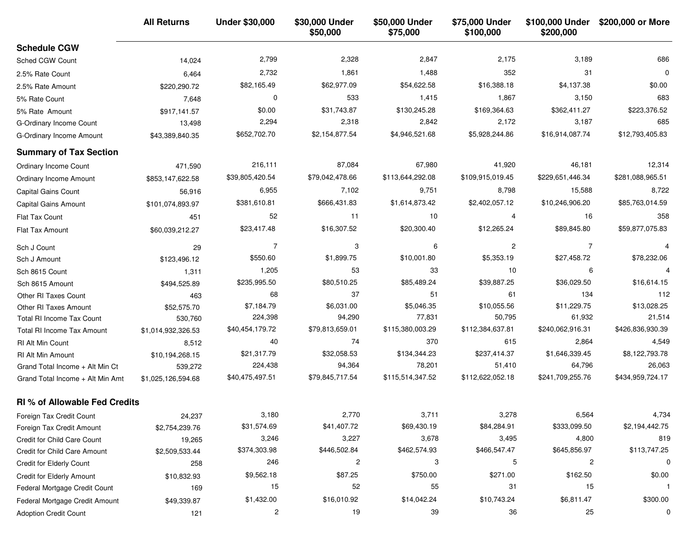|                                      | <b>All Returns</b> | <b>Under \$30,000</b> | \$30,000 Under<br>\$50,000 | \$50,000 Under<br>\$75,000 | \$75,000 Under<br>\$100,000 | \$100,000 Under<br>\$200,000 | \$200,000 or More |
|--------------------------------------|--------------------|-----------------------|----------------------------|----------------------------|-----------------------------|------------------------------|-------------------|
| <b>Schedule CGW</b>                  |                    |                       |                            |                            |                             |                              |                   |
| Sched CGW Count                      | 14,024             | 2,799                 | 2,328                      | 2,847                      | 2,175                       | 3,189                        | 686               |
| 2.5% Rate Count                      | 6,464              | 2,732                 | 1,861                      | 1,488                      | 352                         | 31                           | $\Omega$          |
| 2.5% Rate Amount                     | \$220,290.72       | \$82,165.49           | \$62,977.09                | \$54,622.58                | \$16,388.18                 | \$4,137.38                   | \$0.00            |
| 5% Rate Count                        | 7,648              | 0                     | 533                        | 1,415                      | 1,867                       | 3,150                        | 683               |
| 5% Rate Amount                       | \$917,141.57       | \$0.00                | \$31,743.87                | \$130,245.28               | \$169,364.63                | \$362,411.27                 | \$223,376.52      |
| G-Ordinary Income Count              | 13,498             | 2,294                 | 2,318                      | 2,842                      | 2,172                       | 3,187                        | 685               |
| G-Ordinary Income Amount             | \$43,389,840.35    | \$652,702.70          | \$2,154,877.54             | \$4,946,521.68             | \$5,928,244.86              | \$16,914,087.74              | \$12,793,405.83   |
| <b>Summary of Tax Section</b>        |                    |                       |                            |                            |                             |                              |                   |
| <b>Ordinary Income Count</b>         | 471,590            | 216,111               | 87,084                     | 67,980                     | 41,920                      | 46,181                       | 12,314            |
| Ordinary Income Amount               | \$853,147,622.58   | \$39,805,420.54       | \$79,042,478.66            | \$113,644,292.08           | \$109,915,019.45            | \$229,651,446.34             | \$281,088,965.51  |
| Capital Gains Count                  | 56,916             | 6,955                 | 7,102                      | 9,751                      | 8,798                       | 15,588                       | 8,722             |
| Capital Gains Amount                 | \$101,074,893.97   | \$381,610.81          | \$666,431.83               | \$1,614,873.42             | \$2,402,057.12              | \$10,246,906.20              | \$85,763,014.59   |
| Flat Tax Count                       | 451                | 52                    | 11                         | 10                         | 4                           | 16                           | 358               |
| Flat Tax Amount                      | \$60,039,212.27    | \$23,417.48           | \$16,307.52                | \$20,300.40                | \$12,265.24                 | \$89,845.80                  | \$59,877,075.83   |
| Sch J Count                          | 29                 | $\overline{7}$        | 3                          | 6                          | $\overline{c}$              | $\overline{7}$               | 4                 |
| Sch J Amount                         | \$123,496.12       | \$550.60              | \$1,899.75                 | \$10,001.80                | \$5,353.19                  | \$27,458.72                  | \$78,232.06       |
| Sch 8615 Count                       | 1,311              | 1,205                 | 53                         | 33                         | 10                          | 6                            | $\overline{4}$    |
| Sch 8615 Amount                      | \$494,525.89       | \$235,995.50          | \$80,510.25                | \$85,489.24                | \$39,887.25                 | \$36,029.50                  | \$16,614.15       |
| Other RI Taxes Count                 | 463                | 68                    | 37                         | 51                         | 61                          | 134                          | 112               |
| Other RI Taxes Amount                | \$52,575.70        | \$7,184.79            | \$6,031.00                 | \$5,046.35                 | \$10,055.56                 | \$11,229.75                  | \$13,028.25       |
| <b>Total RI Income Tax Count</b>     | 530,760            | 224,398               | 94,290                     | 77,831                     | 50,795                      | 61,932                       | 21,514            |
| Total RI Income Tax Amount           | \$1,014,932,326.53 | \$40,454,179.72       | \$79,813,659.01            | \$115,380,003.29           | \$112,384,637.81            | \$240,062,916.31             | \$426,836,930.39  |
| RI Alt Min Count                     | 8,512              | 40                    | 74                         | 370                        | 615                         | 2,864                        | 4,549             |
| <b>RI Alt Min Amount</b>             | \$10,194,268.15    | \$21,317.79           | \$32,058.53                | \$134,344.23               | \$237,414.37                | \$1,646,339.45               | \$8,122,793.78    |
| Grand Total Income + Alt Min Ct      | 539,272            | 224,438               | 94,364                     | 78,201                     | 51,410                      | 64,796                       | 26,063            |
| Grand Total Income + Alt Min Amt     | \$1,025,126,594.68 | \$40,475,497.51       | \$79,845,717.54            | \$115,514,347.52           | \$112,622,052.18            | \$241,709,255.76             | \$434,959,724.17  |
| <b>RI % of Allowable Fed Credits</b> |                    |                       |                            |                            |                             |                              |                   |
| Foreign Tax Credit Count             | 24,237             | 3,180                 | 2,770                      | 3,711                      | 3,278                       | 6,564                        | 4,734             |
| Foreign Tax Credit Amount            | \$2,754,239.76     | \$31,574.69           | \$41,407.72                | \$69,430.19                | \$84,284.91                 | \$333,099.50                 | \$2,194,442.75    |
| Credit for Child Care Count          | 19,265             | 3,246                 | 3,227                      | 3,678                      | 3,495                       | 4,800                        | 819               |
| Credit for Child Care Amount         | \$2,509,533.44     | \$374,303.98          | \$446,502.84               | \$462,574.93               | \$466,547.47                | \$645,856.97                 | \$113,747.25      |
| Credit for Elderly Count             | 258                | 246                   | $\overline{\mathbf{c}}$    | 3                          | 5                           | $\overline{c}$               | $\mathbf 0$       |
| Credit for Elderly Amount            | \$10,832.93        | \$9,562.18            | \$87.25                    | \$750.00                   | \$271.00                    | \$162.50                     | \$0.00            |
| Federal Mortgage Credit Count        | 169                | 15                    | 52                         | 55                         | 31                          | 15                           | -1                |
| Federal Mortgage Credit Amount       | \$49,339.87        | \$1,432.00            | \$16,010.92                | \$14,042.24                | \$10,743.24                 | \$6,811.47                   | \$300.00          |
| <b>Adoption Credit Count</b>         | 121                | 2                     | 19                         | 39                         | 36                          | 25                           | 0                 |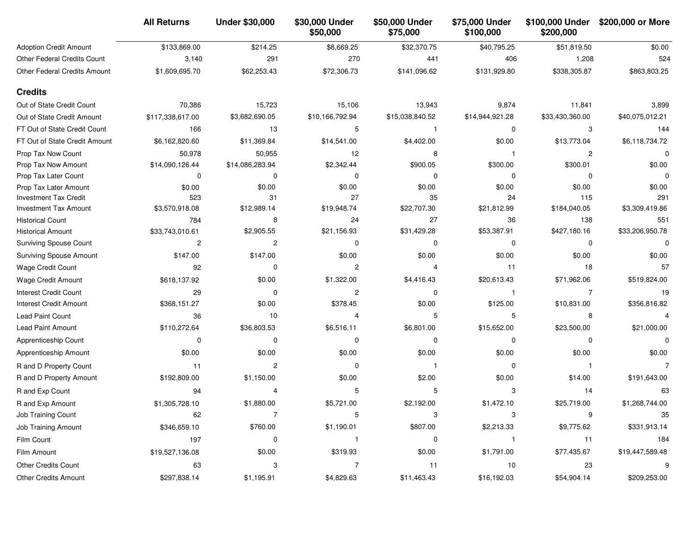|                                    | <b>All Returns</b> | <b>Under \$30,000</b> | \$30,000 Under<br>\$50,000 | \$50,000 Under<br>\$75,000 | \$75,000 Under<br>\$100,000 | \$100,000 Under<br>\$200,000 | \$200,000 or More |
|------------------------------------|--------------------|-----------------------|----------------------------|----------------------------|-----------------------------|------------------------------|-------------------|
| <b>Adoption Credit Amount</b>      | \$133,869.00       | \$214.25              | \$8,669.25                 | \$32,370.75                | \$40,795.25                 | \$51,819.50                  | \$0.00            |
| <b>Other Federal Credits Count</b> | 3,140              | 291                   | 270                        | 441                        | 406                         | 1,208                        | 524               |
| Other Federal Credits Amount       | \$1,609,695.70     | \$62,253.43           | \$72,306.73                | \$141,096.62               | \$131,929.80                | \$338,305.87                 | \$863,803.25      |
| <b>Credits</b>                     |                    |                       |                            |                            |                             |                              |                   |
| Out of State Credit Count          | 70,386             | 15,723                | 15,106                     | 13,943                     | 9,874                       | 11,841                       | 3,899             |
| Out of State Credit Amount         | \$117,338,617.00   | \$3,682,690.05        | \$10,166,792.94            | \$15,038,840.52            | \$14,944,921.28             | \$33,430,360.00              | \$40,075,012.21   |
| FT Out of State Credit Count       | 166                | 13                    | 5                          |                            | 0                           | 3                            | 144               |
| FT Out of State Credit Amount      | \$6,162,820.60     | \$11,369.84           | \$14,541.00                | \$4,402.00                 | \$0.00                      | \$13,773.04                  | \$6,118,734.72    |
| Prop Tax Now Count                 | 50,978             | 50,955                | 12                         | 8                          | -1                          | 2                            | 0                 |
| Prop Tax Now Amount                | \$14,090,126.44    | \$14,086,283.94       | \$2,342.44                 | \$900.05                   | \$300.00                    | \$300.01                     | \$0.00            |
| Prop Tax Later Count               | 0                  | $\Omega$              | 0                          | $\Omega$                   | 0                           | 0                            | 0                 |
| Prop Tax Later Amount              | \$0.00             | \$0.00                | \$0.00                     | \$0.00                     | \$0.00                      | \$0.00                       | \$0.00            |
| <b>Investment Tax Credit</b>       | 523                | 31                    | 27                         | 35                         | 24                          | 115                          | 291               |
| <b>Investment Tax Amount</b>       | \$3,570,918.08     | \$12,989.14           | \$19,948.74                | \$22,707.30                | \$21,812.99                 | \$184,040.05                 | \$3,309,419.86    |
| <b>Historical Count</b>            | 784                | 8                     | 24                         | 27                         | 36                          | 138                          | 551               |
| <b>Historical Amount</b>           | \$33,743,010.61    | \$2,905.55            | \$21,156.93                | \$31,429.28                | \$53,387.91                 | \$427,180.16                 | \$33,206,950.78   |
| <b>Surviving Spouse Count</b>      | 2                  | $\overline{c}$        | $\mathbf 0$                | $\Omega$                   | 0                           | 0                            | $\Omega$          |
| <b>Surviving Spouse Amount</b>     | \$147.00           | \$147.00              | \$0.00                     | \$0.00                     | \$0.00                      | \$0.00                       | \$0.00            |
| Wage Credit Count                  | 92                 | $\mathbf 0$           | 2                          | 4                          | 11                          | 18                           | 57                |
| Wage Credit Amount                 | \$618,137.92       | \$0.00                | \$1,322.00                 | \$4,416.43                 | \$20,613.43                 | \$71,962.06                  | \$519,824.00      |
| <b>Interest Credit Count</b>       | 29                 | $\Omega$              | $\overline{c}$             | $\Omega$                   | -1                          | $\overline{7}$               | 19                |
| <b>Interest Credit Amount</b>      | \$368,151.27       | \$0.00                | \$378.45                   | \$0.00                     | \$125.00                    | \$10,831.00                  | \$356,816.82      |
| Lead Paint Count                   | 36                 | 10                    | 4                          | 5                          | 5                           | 8                            | $\overline{4}$    |
| <b>Lead Paint Amount</b>           | \$110,272.64       | \$36,803.53           | \$6,516.11                 | \$6,801.00                 | \$15,652.00                 | \$23,500.00                  | \$21,000.00       |
| Apprenticeship Count               | 0                  | $\Omega$              | $\Omega$                   | $\Omega$                   | 0                           | 0                            | 0                 |
| Apprenticeship Amount              | \$0.00             | \$0.00                | \$0.00                     | \$0.00                     | \$0.00                      | \$0.00                       | \$0.00            |
| R and D Property Count             | 11                 | $\overline{c}$        | $\mathbf 0$                |                            | 0                           | 1                            | 7                 |
| R and D Property Amount            | \$192,809.00       | \$1,150.00            | \$0.00                     | \$2.00                     | \$0.00                      | \$14.00                      | \$191,643.00      |
| R and Exp Count                    | 94                 | $\overline{4}$        | 5                          |                            | 3                           | 14                           | 63                |
| R and Exp Amount                   | \$1,305,728.10     | \$1,880.00            | \$5,721.00                 | \$2,192.00                 | \$1,472.10                  | \$25,719.00                  | \$1,268,744.00    |
| Job Training Count                 | 62                 | 7                     | 5                          | 3                          | 3                           | 9                            | 35                |
| <b>Job Training Amount</b>         | \$346,659.10       | \$760.00              | \$1,190.01                 | \$807.00                   | \$2,213.33                  | \$9,775.62                   | \$331,913.14      |
| Film Count                         | 197                | 0                     |                            | 0                          |                             | 11                           | 184               |
| Film Amount                        | \$19,527,136.08    | \$0.00                | \$319.93                   | \$0.00                     | \$1,791.00                  | \$77,435.67                  | \$19,447,589.48   |
| <b>Other Credits Count</b>         | 63                 | 3                     | 7                          | 11                         | 10                          | 23                           | 9                 |
| Other Credits Amount               | \$297,838.14       | \$1,195.91            | \$4,829.63                 | \$11,463.43                | \$16,192.03                 | \$54,904.14                  | \$209,253.00      |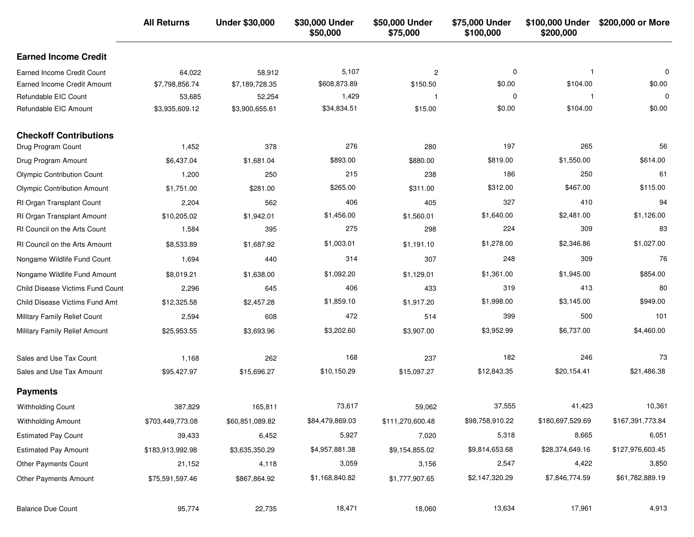| <b>Earned Income Credit</b><br><b>Earned Income Credit Count</b><br>58,912<br>5,107<br>$\overline{\mathbf{c}}$<br>0<br>64,022<br>-1<br>\$608,873.89<br>\$0.00<br>\$104.00<br>\$150.50<br>Earned Income Credit Amount<br>\$7,798,856.74<br>\$7,189,728.35<br>1,429<br>$\mathbf 0$<br>Refundable EIC Count<br>53,685<br>52,254<br>\$34,834.51<br>\$0.00<br>\$104.00<br>Refundable EIC Amount<br>\$3,935,609.12<br>\$3,900,655.61<br>\$15.00 | $\mathbf 0$<br>\$0.00<br>0<br>\$0.00<br>56<br>\$614.00<br>61 |
|-------------------------------------------------------------------------------------------------------------------------------------------------------------------------------------------------------------------------------------------------------------------------------------------------------------------------------------------------------------------------------------------------------------------------------------------|--------------------------------------------------------------|
|                                                                                                                                                                                                                                                                                                                                                                                                                                           |                                                              |
|                                                                                                                                                                                                                                                                                                                                                                                                                                           |                                                              |
|                                                                                                                                                                                                                                                                                                                                                                                                                                           |                                                              |
|                                                                                                                                                                                                                                                                                                                                                                                                                                           |                                                              |
|                                                                                                                                                                                                                                                                                                                                                                                                                                           |                                                              |
| <b>Checkoff Contributions</b>                                                                                                                                                                                                                                                                                                                                                                                                             |                                                              |
| 276<br>197<br>265<br>378<br>1,452<br>280<br>Drug Program Count                                                                                                                                                                                                                                                                                                                                                                            |                                                              |
| \$893.00<br>\$819.00<br>\$1,550.00<br>Drug Program Amount<br>\$6,437.04<br>\$1,681.04<br>\$880.00                                                                                                                                                                                                                                                                                                                                         |                                                              |
| 215<br>186<br>250<br>250<br>238<br><b>Olympic Contribution Count</b><br>1,200                                                                                                                                                                                                                                                                                                                                                             |                                                              |
| \$265.00<br>\$312.00<br>\$467.00<br>\$1,751.00<br>\$281.00<br>\$311.00<br><b>Olympic Contribution Amount</b>                                                                                                                                                                                                                                                                                                                              | \$115.00                                                     |
| 327<br>406<br>410<br>RI Organ Transplant Count<br>2,204<br>562<br>405                                                                                                                                                                                                                                                                                                                                                                     | 94                                                           |
| \$1,456.00<br>\$1,640.00<br>\$2,481.00<br>\$10,205.02<br>\$1,942.01<br>\$1,560.01<br>RI Organ Transplant Amount                                                                                                                                                                                                                                                                                                                           | \$1,126.00                                                   |
| 275<br>224<br>309<br>RI Council on the Arts Count<br>395<br>298<br>1,584                                                                                                                                                                                                                                                                                                                                                                  | 83                                                           |
| \$1,003.01<br>\$1,278.00<br>\$1,687.92<br>\$2,346.86<br><b>RI Council on the Arts Amount</b><br>\$8,533.89<br>\$1,191.10                                                                                                                                                                                                                                                                                                                  | \$1,027.00                                                   |
| 314<br>248<br>309<br>Nongame Wildlife Fund Count<br>1,694<br>440<br>307                                                                                                                                                                                                                                                                                                                                                                   | 76                                                           |
| \$1,092.20<br>\$1,361.00<br>\$1,945.00<br>\$1,129.01<br>Nongame Wildlife Fund Amount<br>\$8,019.21<br>\$1,638.00                                                                                                                                                                                                                                                                                                                          | \$854.00                                                     |
| 406<br>319<br>413<br><b>Child Disease Victims Fund Count</b><br>2,296<br>645<br>433                                                                                                                                                                                                                                                                                                                                                       | 80                                                           |
| \$1,859.10<br>\$3,145.00<br>\$1,917.20<br>\$1,998.00<br>Child Disease Victims Fund Amt<br>\$12,325.58<br>\$2,457.28                                                                                                                                                                                                                                                                                                                       | \$949.00                                                     |
| 472<br>399<br>500<br>Military Family Relief Count<br>2,594<br>608<br>514                                                                                                                                                                                                                                                                                                                                                                  | 101                                                          |
| \$3,202.60<br>\$3,952.99<br>\$6,737.00<br>Military Family Relief Amount<br>\$25,953.55<br>\$3,693.96<br>\$3,907.00                                                                                                                                                                                                                                                                                                                        | \$4,460.00                                                   |
| 168<br>182<br>246<br>237<br>Sales and Use Tax Count<br>262<br>1,168                                                                                                                                                                                                                                                                                                                                                                       | 73                                                           |
| \$10,150.29<br>\$20,154.41<br>\$15,097.27<br>\$12,843.35<br>Sales and Use Tax Amount<br>\$95,427.97<br>\$15,696.27                                                                                                                                                                                                                                                                                                                        | \$21,486.38                                                  |
| <b>Payments</b>                                                                                                                                                                                                                                                                                                                                                                                                                           |                                                              |
| 73,617<br>37,555<br>41,423<br>387,829<br>165,811<br>59,062<br><b>Withholding Count</b>                                                                                                                                                                                                                                                                                                                                                    | 10,361                                                       |
| \$98,758,910.22<br>\$180,697,529.69<br>\$84,479,869.03<br>\$60,851,089.82<br>\$111,270,600.48<br><b>Withholding Amount</b><br>\$703,449,773.08                                                                                                                                                                                                                                                                                            | \$167,391,773.84                                             |
| 5,927<br>5,318<br>8,665<br><b>Estimated Pay Count</b><br>6,452<br>39,433<br>7,020                                                                                                                                                                                                                                                                                                                                                         | 6,051                                                        |
| \$4,957,881.38<br>\$9,814,653.68<br>\$28,374,649.16<br><b>Estimated Pay Amount</b><br>\$183,913,992.98<br>\$3,635,350.29<br>\$9,154,855.02                                                                                                                                                                                                                                                                                                | \$127,976,603.45                                             |
| Other Payments Count<br>3,059<br>2,547<br>4,422<br>21,152<br>4,118<br>3,156                                                                                                                                                                                                                                                                                                                                                               | 3,850                                                        |
| \$2,147,320.29<br>\$7,846,774.59<br>\$1,168,840.82<br>Other Payments Amount<br>\$75,591,597.46<br>\$867,864.92<br>\$1,777,907.65                                                                                                                                                                                                                                                                                                          | \$61,782,889.19                                              |
| 18,471<br>13,634<br>17,961<br><b>Balance Due Count</b><br>95,774<br>22,735<br>18,060                                                                                                                                                                                                                                                                                                                                                      | 4,913                                                        |